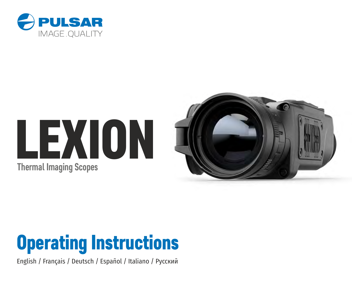

# LEXION **Thermal Imaging Scopes**





English / Français / Deutsch / Español / Italiano / Русский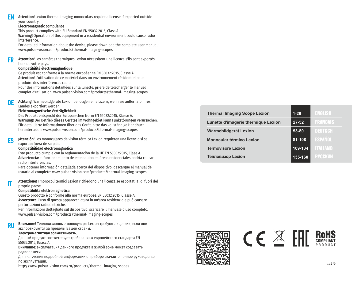#### **Attention!** Lexion thermal imaging monoculars require a license if exported outside your country. **EN**

#### **Electromagnetic compliance**

This product complies with EU Standard EN 55032:2015, Class A.

**Warning!** Operation of this equipment in a residential environment could cause radio interference.

For detailed information about the device, please download the complete user manual: www.pulsar-vision.com/products/thermal-imaging-scopes

Attention! Les caméras thermiques Lexion nécessitent une licence s'ils sont exportés hors de votre pays. **FR**

#### **Compatibilité électromagnétique**

Ce produit est conforme à la norme européenne EN 55032:2015, Classe A. **Attention!** L'utilisation de ce matériel dans un environnement résidentiel peut produire des interférences radio.

Pour des informations détaillées sur la lunette, prière de télécharger le manuel complet d'utilisation: www.pulsar-vision.com/products/thermal-imaging-scopes

**Achtung!** Wärmebildgeräte Lexion benötigen eine Lizenz, wenn sie außerhalb Ihres Landes exportiert werden. **DE**

#### **Elektromagnetische Verträglichkeit**

Das Produkt entspricht der Europäischen Norm EN 55032:2015, Klasse A. **Warnung!** Der Betrieb dieses Gerätes im Wohngebiet kann Funkstörungen verursachen. Für detaillierte Informationen über das Gerät, bitte das vollständige Handbuch herunterladen: www.pulsar-vision.com/products/thermal-imaging-scopes

**¡Atención!** Los monoculares de visión térmica Lexion requieren una licencia si se exportan fuera de su país. **ES**

#### **Compatibilidad electromagnética**

Este producto cumple con la reglamentación de la UE EN 55032:2015, Clase A. **Advertencia:** el funcionamiento de este equipo en áreas residenciales podría causar radio interferencias.

Para obtener información detallada acerca del dispositivo, descargue el manual de usuario al completo: www.pulsar-vision.com/products/thermal-imaging-scopes

**Attenzione!** I monocoli termici Lexion richiedono una licenza se esportati al di fuori del proprio paese.

#### **Compatibilità elettromagnetica**

**IT**

Questo prodotto è conforme alla norma europea EN 55032:2015, Classe A. **Avvertenza:** l'uso di questa apparecchiatura in un'area residenziale può causare perturbazioni radioelettriche.

www.pulsar-vision.com/products/thermal-imaging-scopes Per informazioni dettagliate sul dispositivo, scaricare il manuale d'uso completo:

**Внимание!** Тепловизионные монокуляры Lexion требуют лицензии, если они экспортируются за пределы Вашей страны. **RU**

# **Электромагнитная совместимость.**

Данный продукт соответствует требованиям европейского стандарта EN 55032:2015, Класс А.

**Внимание:** эксплуатация данного продукта в жилой зоне может создавать радиопомехи.

Для получения подробной информации о приборе скачайте полное руководство по эксплуатации:

http://www.pulsar-vision.com/ru/products/thermal-imaging-scopes

| <b>Thermal Imaging Scope Lexion</b> | $1 - 26$  | <b>ENGLISH</b>  |
|-------------------------------------|-----------|-----------------|
| Lunette d'imagerie thermique Lexion | $27 - 52$ | <b>FRANCAIS</b> |
| Wärmebildgerät Lexion               | 53-80     | <b>DEUTSCH</b>  |
| Monocular térmico Lexion            | 81-108    | <b>ESPAÑOL</b>  |
| <b>Termovisore Lexion</b>           | 109-134   | <b>ITALIANO</b> |
| <b>Тепловизор Lexion</b>            | 135-160   | <b>PYCCKWM</b>  |



 $C \in \mathbb{Z}$  FHT ROHS

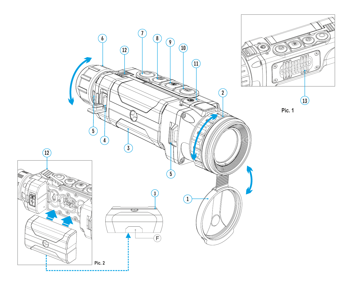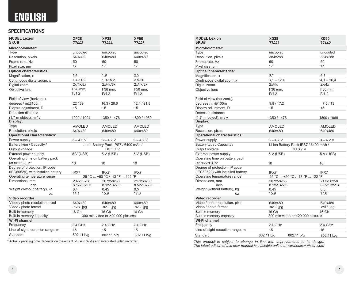# **ENGLISH**

# **SPECIFICATIONS**

| <b>MODEL Lexion</b><br>SKU#                  | <b>XP28</b><br>77443     | <b>XP38</b><br>77444                  | <b>XP50</b><br>77445     |
|----------------------------------------------|--------------------------|---------------------------------------|--------------------------|
| Microbolometer:                              |                          |                                       |                          |
| Type                                         | uncooled                 | uncooled                              | uncooled                 |
| Resolution, pixels                           | 640x480                  | 640x480                               | 640x480                  |
| Frame rate, Hz                               | 50                       | 50                                    | 50                       |
| Pixel size, um                               | 17                       | 17                                    | 17                       |
| <b>Optical characteristics:</b>              |                          |                                       |                          |
| Magnification, x                             | 1.4                      | 1.9                                   | 2.5                      |
| Continuous digital zoom, x                   | $1.4 - 11.2$             | $1.9 - 15.2$                          | $2.5 - 20$               |
| Digital zoom                                 | 2x/4x/8x                 | 2x/4x/8x                              | 2x/4x/8x                 |
| Objective lens                               | F28 mm,                  | F38 mm,                               | F50 mm.                  |
|                                              | F/1.2                    | F/1.2                                 | F/1.2                    |
| Field of view (horizont.),                   |                          |                                       |                          |
| degrees / m@100m                             | 22/39                    | 16.3 / 28.6                           | 12.4 / 21.8              |
| Dioptre adjustment, D                        | ±5                       | ±5                                    | ±5                       |
| Detection distance                           |                          |                                       |                          |
|                                              |                          |                                       |                          |
| $(1,7 \text{ m object})$ , m / y<br>Display: | 1000 / 1094              | 1350 / 1476                           | 1800 / 1969              |
| Type                                         |                          |                                       |                          |
| Resolution, pixels                           | <b>AMOLED</b><br>640x480 | <b>AMOLED</b>                         | <b>AMOLED</b><br>640x480 |
|                                              |                          | 640x480                               |                          |
| <b>Operational characteristics:</b>          |                          |                                       |                          |
| Power supply                                 | $3 - 4.2$ V              | $3 - 4.2 V$                           | $3 - 4.2 V$              |
| Battery type / Capacity /                    |                          | Li-Ion Battery Pack IPS7 / 6400 mAh / |                          |
| Output voltage                               |                          | DC 3.7 V                              |                          |
| External power supply                        | 5 V (USB)                | 5 V (USB)                             | 5 V (USB)                |
| Operating time on battery pack               |                          |                                       |                          |
| (at t=22°C), h*                              | 10                       | 10                                    | 10                       |
| Degree of protection, IP code                |                          |                                       |                          |
| (IEC60529), with installed battery           | IPX7                     | IPX7                                  | IPX7                     |
| Operating temperature range                  |                          | -25 °C  +50 °C / -13 °F  122 °F       |                          |
| Dimensions, mm                               | 207x58x58                | 207x58x58                             | 217x58x58                |
| inch                                         | 8.1x2.3x2.3              | 8.1x2.3x2.3                           | 8.5x2.3x2.3              |
| Weight (without battery), kg                 | 0.4                      | 0.45                                  | 0.5                      |
| 0Z                                           | 14.1                     | 15.9                                  | 17.6                     |
| Video recorder                               |                          |                                       |                          |
| Video / photo resolution, pixel              | 640x480                  | 640x480                               | 640x480                  |
| Video / photo format                         | .avi / .jpg              | .avi / .jpg                           | .avi / .jpg              |
| Built-in memory                              | 16 Gb                    | 16 Gb                                 | 16 Gb                    |
| Built-in memory capacity                     |                          | 300 min video or >20 000 pictures     |                          |
| Wi-Fi channel                                |                          |                                       |                          |
| Frequency                                    | 2.4 GHz                  | 2.4 GHz                               | 2.4 GHz                  |
| Line-of-sight reception range, m             | 15                       | 15                                    | 15                       |
| Standard                                     | 802.11 b/g               | 802.11 b/g                            | 802.11 b/g               |
|                                              |                          |                                       |                          |

\* Actual operating time depends on the extent of using Wi-Fi and integrated video recorder.

| <b>MODEL Lexion</b><br>SKU#                             | <b>XQ38</b><br>77441 |                                       | <b>XQ50</b><br>77442 |
|---------------------------------------------------------|----------------------|---------------------------------------|----------------------|
| Microbolometer:                                         |                      |                                       |                      |
| Type                                                    | uncooled             |                                       | uncooled             |
| Resolution, pixels                                      | 384x288              |                                       | 384x288              |
| Frame rate, Hz                                          | 50                   |                                       | 50                   |
| Pixel size, um                                          | 17                   |                                       | 17                   |
| <b>Optical characteristics:</b>                         |                      |                                       |                      |
| Magnification, x                                        | 3.1                  |                                       | 4.1                  |
| Continuous digital zoom, x                              | $3,1 - 12,4$         |                                       | $4,1 - 16,4$         |
| Digital zoom                                            | 2x/4x                |                                       | 2x/4x                |
| Objective lens                                          | F38 mm,              |                                       | F50 mm,              |
|                                                         | F/1.2                |                                       | F/1.2                |
| Field of view (horizont.),                              |                      |                                       |                      |
| degrees / m@100m                                        | 9,8/17,2             |                                       | 7, 5/13              |
| Dioptre adjustment, D                                   | ±5                   |                                       | ±5                   |
| Detection distance                                      |                      |                                       |                      |
| $(1,7 \text{ m}$ object), m / y                         | 1350 / 1476          |                                       | 1800 / 1969          |
| Display:                                                |                      |                                       |                      |
| Type                                                    | <b>AMOLED</b>        |                                       | <b>AMOLED</b>        |
| Resolution, pixels                                      | 640x480              |                                       | 640x480              |
| <b>Operational characteristics:</b>                     |                      |                                       |                      |
| Power supply                                            | $3 - 4.2$ V          |                                       | $3 - 4.2$ V          |
| Battery type / Capacity /                               |                      | Li-Ion Battery Pack IPS7 / 6400 mAh / |                      |
| Output voltage                                          |                      | DC 3.7 V                              |                      |
| External power supply                                   | 5 V (USB)            |                                       | 5 V (USB)            |
| Operating time on battery pack                          |                      |                                       |                      |
| (at t=22°C), h*                                         | 10                   |                                       | 10                   |
| Degree of protection, IP code                           |                      |                                       |                      |
| (IEC60529), with installed battery                      | IPX7                 |                                       | IPX7                 |
| Operating temperature range                             |                      | -25 °C  +50 °C / -13 °F  122 °F       |                      |
| Dimensions, mm                                          | 207x58x58            |                                       | 217x58x58            |
| inch                                                    | 8.1x2.3x2.3          |                                       | 8.5x2.3x2.3          |
| Weight (without battery), kg                            | 0.45                 |                                       | 0.5                  |
| 0Z                                                      | 15.9                 |                                       | 17.6                 |
| Video recorder                                          |                      |                                       |                      |
| Video / photo resolution, pixel<br>Video / photo format | 640x480              |                                       | 640x480              |
| Built-in memory                                         | .avi / .jpg          |                                       | .avi / .jpg          |
| Built-in memory capacity                                | 16 Gb                | 300 min video or >20 000 pictures     | 16 Gb                |
| Wi-Fi channel                                           |                      |                                       |                      |
| Frequency                                               | 2.4 GHz              |                                       | 2.4 GHz              |
| Line-of-sight reception range, m                        | 15                   |                                       | 15                   |
| Champional I                                            | 002.44 h/a           | $00044 \text{ k/s}$                   | 00044 kL             |

*This product is subject to change in line with improvements to its design. The latest edition of this user manual is available online at www.pulsar-vision.com*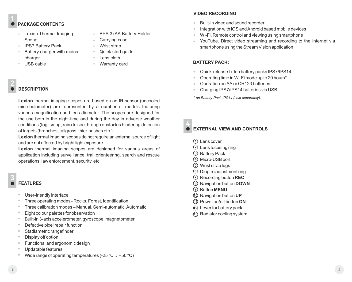# **PACKAGE CONTENTS**

- Lexion Thermal Imaging Scope
- IPS7 Battery Pack
- Battery charger with mains charger
- USB cable
- 

#### **DESCRIPTION 2**

**Lexion** thermal imaging scopes are based on an IR sensor (uncooled microbolometer) are represented by a number of models featuring various magnification and lens diameter. The scopes are designed for the use both in the night-time and during the day in adverse weather conditions (fog, smog, rain) to see through obstacles hindering detection of targets (branches, tallgrass, thick bushes etc.).

BPS 3xAA Battery Holder

Carrying case Wrist strap Quick start guide Lens cloth Warranty card

**Lexion** thermal imaging scopes do not require an external source of light and are not affected by bright light exposure.

**Lexion** thermal imaging scopes are designed for various areas of application including surveillance, trail orienteering, search and rescue operations, law enforcement, security, etc.

**3**

# **FEATURES**

- User-friendly interface
- Three operating modes Rocks, Forest, Identification
- Three calibration modes Manual, Semi-automatic, Automatic
- Eight colour palettes for observation
- Built-in 3-axis accelerometer, gyroscope, magnetometer
- Defective pixel repair function
- Stadiametric rangefinder
- Display off option
- Functional and ergonomic design
- Updatable features
- Wide range of operating temperatures (-25 °С …+50 °С)

#### **VIDEO RECORDING**

- Built-in video and sound recorder  $\ddot{\phantom{a}}$
- Integration with iOS and Android based mobile devices
- Wi-Fi. Remote control and viewing using smartphone
- YouTube. Direct video streaming and recording to the Internet via smartphone using the Stream Vision application

#### **BATTERY PACK:**

- $\bullet$ Quick-release Li-Ion battery packs IPS7/IPS14
- Operating time in Wi-Fi mode up to 20 hours\*
- Operation on АА or CR123 batteries
- Charging IPS7/IPS14 batteries via USB

*\* on Battery Pack IPS14 (sold separately).*

**4**

# **EXTERNAL VIEW AND CONTROLS**

- **1** Lens cover
- **2** Lens focusing ring
- **3** Battery Pack
- **4** Micro-USB port
- **5** Wrist strap lugs
- **6** Dioptre adjustment ring
- **7** Recording button **REC**
- **8** Navigation button **DOWN**
- **9** Button **MENU**
- **10** Navigation button **UP**
- **11** Power on/off button **ON**
- Lever for battery pack **12**
- Radiator cooling system **13**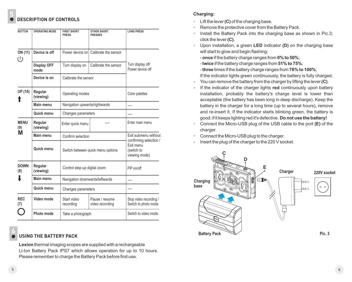# **DESCRIPTION OF CONTROLS**

| <b>BUTTON</b>                              | <b>OPERATING MODE</b>      | <b>FIRST SHORT</b><br><b>PRESS</b> | <b>OTHER SHORT</b><br><b>PRESSES</b> | <b>LONG PRESS</b>                              |  |
|--------------------------------------------|----------------------------|------------------------------------|--------------------------------------|------------------------------------------------|--|
| ON (11)<br>⊍                               | Device is off              |                                    | Power device on Calibrate the sensor |                                                |  |
|                                            | <b>Display OFF</b><br>mode | Turn display on                    | Calibrate the sensor                 | Turn display off/<br>Power device off          |  |
|                                            | Device is on               | Calibrate the sensor               |                                      |                                                |  |
| UP (10)                                    | Regular<br>(viewing)       |                                    | Operating modes                      |                                                |  |
|                                            | Main menu                  | Navigation upwards/rightwards      |                                      |                                                |  |
|                                            | Quick menu                 |                                    | Changes parameters                   |                                                |  |
| <b>MENU</b><br>Regular<br>(viewing)<br>(9) |                            | Enter quick menu                   |                                      | Enter main menu                                |  |
| М                                          | Main menu                  | Confirm selection                  |                                      | Exit submenu without<br>confirming selection / |  |
|                                            | Quick menu                 | Switch between quick menu options  |                                      | Exit menu<br>(switch to<br>viewing mode)       |  |
| <b>DOWN</b><br>(8)                         | Regular<br>(viewing)       | Control step-up digital zoom       |                                      | PiP on/off                                     |  |
|                                            | Main menu                  | Navigation downwards/leftwards     |                                      | $\sim$                                         |  |
|                                            | Quick menu                 | Changes parameters                 |                                      |                                                |  |
| <b>REC</b><br>(7)                          | Video mode                 | Start video<br>recording           | Pause / resume<br>video recording    | Stop video recording /<br>Switch to photo mode |  |
|                                            | Photo mode                 | Take a photograph                  |                                      | Switch to video mode                           |  |

#### **USING THE BATTERY PACK 6**

**Lexion** thermal imaging scopes are supplied with a rechargeable Li-Ion Battery Pack IPS7 which allows operation for up to 10 hours. Please remember to charge the Battery Pack before first use.

# **Charging:**

- Lift the lever **(C)** of the charging base.  $\bullet$  .
- Remove the protective cover from the Battery Pack.  $\alpha$
- Install the Battery Pack into the charging base as shown in Pic.3;  $\bullet$  . click the lever **(C).**
- Upon installation, a green **LED** indicator **(D)** on the charging base  $\alpha$  . will start to glow and begin flashing:
	- **once** if the battery charge ranges from **0% to 50%**;
	- **twice** if the battery charge ranges from **51% to 75%**;
	- **three** times if the battery charge ranges from **76% to 100%**;
- If the indicator lights green continuously, the battery is fully charged.
- You can remove the battery from the charger by lifting the lever **(C)**.  $\alpha$  .
- If the indicator of the charger lights **red** continuously upon battery  $\alpha$  . installation, probably the battery's charge level is lower than acceptable (the battery has been long in deep discharge). Keep the battery in the charger for a long time (up to several hours), remove and re-insert it. If the indicator starts blinking green, the battery is good; if it keeps lighting red it's defective. **Do not use the battery!**
- $\Phi$  . Connect the Micro-USB plug of the USB cable to the port **(E)** of the charger.
- Connect the Micro-USB plug to the charger.  $\Phi$  .
- Insert the plug of the charger to the 220 V socket.  $\alpha$  .



**5**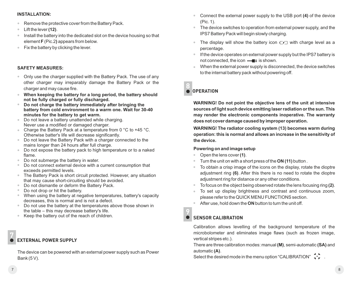#### **INSTALLATION:**

- $\bullet$ Remove the protective cover from the Battery Pack.
- $\bullet$ Lift the lever **(12)**.
- **Install the battery into the dedicated slot on the device housing so that** element **F** (Pic.2**)** appears from below.
- **Fix the battery by clicking the lever.**

#### **SAFETY MEASURES:**

- Only use the charger supplied with the Battery Pack. The use of any other charger may irreparably damage the Battery Pack or the charger and may cause fire.
- **When keeping the battery for a long period, the battery should not be fully charged or fully discharged.**
- **Do not charge the battery immediately after bringing the battery from cold environment to a warm one. Wait for 30-40 minutes for the battery to get warm.**
- Do not leave a battery unattended while charging.  $\bullet$ Never use a modified or damaged charger.
- Charge the Battery Pack at a temperature from 0 °C to +45 °C. Otherwise batter's life will decrease significantly.
- Do not leave the Battery Pack with a charger connected to the mains longer than 24 hours after full charge.
- Do not expose the battery pack to high temperature or to a naked  $\bullet$ flame.
- Do not submerge the battery in water.  $\bullet$
- Do not connect external device with a current consumption that exceeds permitted levels.
- The Battery Pack is short circuit protected. However, any situation that may cause short-circuiting should be avoided.
- Do not dismantle or deform the Battery Pack.  $\sim$
- $\bullet$ Do not drop or hit the battery.
- $\oplus$ When using the battery at negative temperatures, battery's capacity decreases, this is normal and is not a defect.
- Do not use the battery at the temperatures above those shown in the table – this may decrease battery's life.
- Keep the battery out of the reach of children.

#### **EXTERNAL POWER SUPPLY 7**

The device can be powered with an external power supply such as Power Bank (5 V).

- Connect the external power supply to the USB port **(4)** of the device  $\alpha$  . (Pic. 1).
- The device switches to operation from external power supply, and the IPS7 Battery Pack will begin slowly charging.
- The display will show the battery icon  $\mathbb{Z}$  with charge level as a  $\bullet$  . percentage.
- **If the device operates on external power supply but the IPS7 battery is** not connected, the icon  $\frac{1}{\sqrt{1-\frac{1}{n}}}$  is shown.
- When the external power supply is disconnected, the device switches to the internal battery pack without powering off.

#### **OPERATION 8**

**WARNING! Do not point the objective lens of the unit at intensive sources of light such device emitting laser radiation or the sun. This may render the electronic components inoperative. The warranty does not cover damage caused by improper operation.**

**WARNING! The radiator cooling system (13) becomes warm during operation: this is normal and allows an increase in the sensitivity of the device.** 

#### **Powering on and image setup**

- $\alpha$ Open the lens cover **(1)**.
- Turn the unit on with a short press of the **ON (11)** button .
- To obtain a crisp image of the icons on the display, rotate the dioptre  $\alpha$  . adjustment ring **(6)**. After this there is no need to rotate the dioptre adiustment ring for distance or any other conditions.
- To focus on the object being observed rotate the lens focusing ring **(2)**.
- $\alpha$  . To set up display brightness and contrast and continuous zoom, please refer to the QUICK MENU FUNCTIONS section.
- After use, hold down the **ON** button to turn the unit off.

## **SENSOR CALIBRATION 9**

Calibration allows levelling of the background temperature of the microbolometer and eliminates image flaws (such as frozen image, vertical stripes etc.).

There are three calibration modes: manual **(M)**, semi-automatic **(SA)** and automatic **(А)**.

Select the desired mode in the menu option "CALIBRATION"  $\leftrightarrow$ .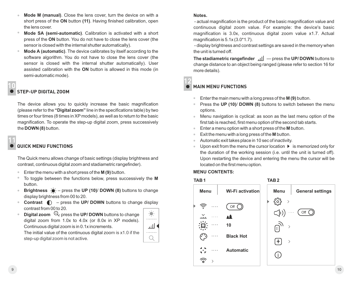- **Mode М (manual)**. Close the lens cover, turn the device on with a  $\alpha$ short press of the **ON** button **(11)**. Having finished calibration, open the lens cover.
- $\ddot{\phantom{a}}$ **Mode SA (semi-automatic)**. Calibration is activated with a short press of the **ON** button. You do not have to close the lens cover (the sensor is closed with the internal shutter automatically).
- **Mode А (automatic)**. The device calibrates by itself according to the software algorithm. You do not have to close the lens cover (the sensor is closed with the internal shutter automatically). User assisted calibration with the **ON** button is allowed in this mode (in semi-automatic mode).

# **10**

# **STEP-UP DIGITAL ZOOM**

The device allows you to quickly increase the basic magnification (please refer to the **"Digital zoom"** line in the specifications table) by two times or four times (8 times in XP models), as well as to return to the basic magnification. To operate the step-up digital zoom, press successively the **DOWN** (8) button.

**11**

# **QUICK MENU FUNCTIONS**

The Quick menu allows change of basic settings (display brightness and contrast, continuous digital zoom and stadiametric rangefinder).

- $\bullet$ Enter the menu with a short press of the **М (9)** button.
- To toggle between the functions below, press successively the **M**  $\color{black} \bullet$ button.
- **Brightness**  $\dot{\bullet}$  press the UP (10)/ DOWN (8) buttons to change  $\bullet$ display brightness from 00 to 20.
- **Contrast**  $\bigcirc$  press the UP/ DOWN buttons to change display  $\hskip 10pt 0$ contrast from 00 to 20.
- **Digital zoom**  $\mathbb{Q}_r$  press the **UP/ DOWN** buttons to change digital zoom from 1.0x to 4.0x (or 8.0x in XP models). Continuous digital zoom is in 0.1x increments.



The initial value of the continuous digital zoom is x1.0 if the step-up digital zoom is not active.

**Notes.**

 - actual magnification is the product of the basic magnification value and continuous digital zoom value. For example: the device's basic magnification is 3.0х, continuous digital zoom value х1.7. Actual magnification is 5.1х (3.0\*1.7).

 - display brightness and contrast settings are saved in the memory when the unit is turned off.

**The stadiametric rangefinder**  $\left| \right|$  — press the UP/ DOWN buttons to change distance to an object being ranged (please refer to section 16 for more details).

#### **MAIN MENU FUNCTIONS 12**

- Enter the main menu with a long press of the **М (9)** button.
- Press the **UP (10)**/ **DOWN (8)** buttons to switch between the menu options.
- Menu navigation is cyclical: as soon as the last menu option of the  $\alpha$ first tab is reached, first menu option of the second tab starts.
- Enter a menu option with a short press of the **М** button.
- Exit the menu with a long press of the **М** button.
- Automatic exit takes place in 10 sec of inactivity.
- Upon exit from the menu the cursor location  $\blacktriangleright$  is memorized only for the duration of the working session (i.e. until the unit is turned off). Upon restarting the device and entering the menu the cursor will be located on the first menu option.

## **MENU CONTENTS:**

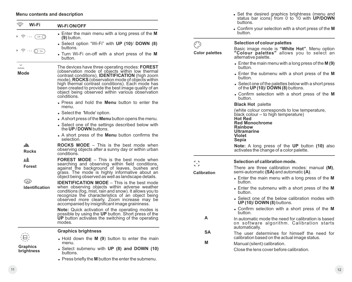#### **Menu contents and description**

| Wi-Fi                                                        | <b>Wi-FiON/OFF</b>                                                                                                                                                                                                                                                                                                                                                                                    |        |
|--------------------------------------------------------------|-------------------------------------------------------------------------------------------------------------------------------------------------------------------------------------------------------------------------------------------------------------------------------------------------------------------------------------------------------------------------------------------------------|--------|
| $\approx \cdots$<br>$\circ$ ( $\circ$ )                      | • Enter the main menu with a long press of the M<br>$(9)$ button.                                                                                                                                                                                                                                                                                                                                     |        |
|                                                              | • Select option "Wi-Fi" with UP (10)/ DOWN (8)<br>buttons.                                                                                                                                                                                                                                                                                                                                            |        |
| $\widehat{\mathbb{R}}$ $\cdots$ $\bigcirc$ on $\widehat{\ }$ | • Turn Wi-Fi on-off with a short press of the M<br>button.                                                                                                                                                                                                                                                                                                                                            | Color  |
| Mode                                                         | The devices have three operating modes: FOREST<br>(observation mode of objects within low thermal<br>contrast conditions), <b>IDENTIFICATION</b> (high zoom<br>mode), <b>ROCKS</b> (observation mode of objects within<br>high thermal contrast conditions). Each mode has<br>been created to provide the best image quality of an<br>object being observed within various observation<br>conditions. |        |
|                                                              | • Press and hold the <b>Menu</b> button to enter the<br>menu.                                                                                                                                                                                                                                                                                                                                         |        |
|                                                              | • Select the 'Mode' option.                                                                                                                                                                                                                                                                                                                                                                           |        |
|                                                              | • A short press of the <b>Menu</b> button opens the menu.                                                                                                                                                                                                                                                                                                                                             |        |
|                                                              | • Select one of the settings described below with<br>the UP / DOWN buttons.                                                                                                                                                                                                                                                                                                                           |        |
|                                                              | • A short press of the <b>Menu</b> button confirms the<br>selection.                                                                                                                                                                                                                                                                                                                                  |        |
| <b>Rocks</b>                                                 | <b>ROCKS MODE</b> – This is the best mode when<br>observing objects after a sunny day or within urban<br>conditions.                                                                                                                                                                                                                                                                                  |        |
| 本条<br>Forest                                                 | <b>FOREST MODE</b> – This is the best mode when<br>searching and observing within field conditions,<br>against the background of leaves, bushes and<br>grass. The mode is highly informative about an<br>object being observed as well as landscape details.                                                                                                                                          | Calibr |
| $\circledcirc$<br>Identification                             | <b>IDENTIFICATION MODE</b> – This is the best mode<br>when observing objects within adverse weather<br>conditions (fog, mist, rain and snow). It allows you to<br>recognize the characteristics of an object being<br>observed more clearly. Zoom increase may be<br>accompanied by insignificant image graininess.                                                                                   |        |
|                                                              | Note: Quick activation of the operating modes is<br>possible by using the UP button. Short press of the<br><b>UP</b> button activates the switching of the operating<br>modes.                                                                                                                                                                                                                        |        |
|                                                              | <b>Graphics brightness</b>                                                                                                                                                                                                                                                                                                                                                                            |        |
|                                                              | • Hold down the M (9) button to enter the main                                                                                                                                                                                                                                                                                                                                                        |        |
| Graphics                                                     | menu.                                                                                                                                                                                                                                                                                                                                                                                                 |        |
| brightness                                                   | . Select submenu with UP (8) and DOWN (10)<br>buttons.                                                                                                                                                                                                                                                                                                                                                |        |

 $\bullet$  Press briefly the **M** button the enter the submenu.

- <sup>=</sup> Set the desired graphics brightness (menu and status bar icons) from 0 to 10 with **UP/DOWN** buttons.
- <sup>=</sup> Confirm your selection with a short press of the **M** button.

|                       | Selection of colour palettes                                                                                                                                                                                                                       |  |  |  |  |
|-----------------------|----------------------------------------------------------------------------------------------------------------------------------------------------------------------------------------------------------------------------------------------------|--|--|--|--|
| <b>Color palettes</b> | Basic image mode is "White Hot". Menu option<br>"Colour palettes" allows you to select an<br>alternative palette.                                                                                                                                  |  |  |  |  |
|                       | $\bullet$ Enter the main menu with a long press of the M (9)<br>hutton                                                                                                                                                                             |  |  |  |  |
|                       | • Enter the submenu with a short press of the M<br>button.                                                                                                                                                                                         |  |  |  |  |
|                       | • Select one of the palettes below with a short press<br>of the UP $(10)$ DOWN $(8)$ buttons.                                                                                                                                                      |  |  |  |  |
|                       | • Confirm selection with a short press of the M<br>button.                                                                                                                                                                                         |  |  |  |  |
|                       | <b>Black Hot palette</b>                                                                                                                                                                                                                           |  |  |  |  |
|                       | (white colour corresponds to low temperature,<br>black colour – to high temperature)<br><b>Hot Red</b><br><b>Red Monochrome</b><br><b>Rainbow</b><br><b>Ultramarine</b><br>Violet<br>Sepia<br><b>Note:</b> A long press of the UP button (10) also |  |  |  |  |
|                       | activates the change of a color palette.                                                                                                                                                                                                           |  |  |  |  |
|                       | Selection of calibration mode.                                                                                                                                                                                                                     |  |  |  |  |
| Calibration           | There are three calibration modes: manual (M),<br>semi-automatic (SA) and automatic (A).                                                                                                                                                           |  |  |  |  |
|                       | • Enter the main menu with a long press of the M<br>button.                                                                                                                                                                                        |  |  |  |  |
|                       | • Enter the submenu with a short press of the M<br>button.                                                                                                                                                                                         |  |  |  |  |
|                       | • Select one of the below calibration modes with<br>UP (10)/ DOWN (8) buttons.                                                                                                                                                                     |  |  |  |  |
|                       | • Confirm selection with a short press of the M<br>button.                                                                                                                                                                                         |  |  |  |  |
| A                     | In automatic mode the need for calibration is based<br>on software algorithm. Calibration starts<br>automatically.                                                                                                                                 |  |  |  |  |
| SΑ                    | The user determines for himself the need for<br>calibration based on the actual image status.                                                                                                                                                      |  |  |  |  |
| М                     | Manual (silent) calibration.                                                                                                                                                                                                                       |  |  |  |  |
|                       | Close the lens cover before calibration.                                                                                                                                                                                                           |  |  |  |  |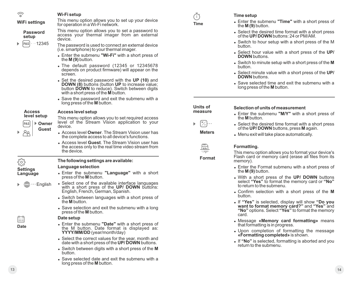| $\widehat{\varphi}$         | Wi-Fi setup                                                                                                                                                                            | Ō                         | Time setup                                                                                                                                         |
|-----------------------------|----------------------------------------------------------------------------------------------------------------------------------------------------------------------------------------|---------------------------|----------------------------------------------------------------------------------------------------------------------------------------------------|
| <b>WiFi settings</b>        | This menu option allows you to set up your device<br>for operation in a Wi-Fi network.                                                                                                 | <b>Time</b>               | • Enter the submenu "Time" with a short press of<br>the $M(9)$ button.                                                                             |
| <b>Password</b><br>setup    | This menu option allows you to set a password to<br>access your thermal imager from an external<br>device.                                                                             |                           | • Select the desired time format with a short press of the UP/DOWN buttons: 24 or PM/AM.                                                           |
| $\cdots$ 12345<br>PAS       | The password is used to connect an external device<br>(i.e. smartphone) to your thermal imager.                                                                                        |                           | • Switch to hour setup with a short press of the M<br>button.                                                                                      |
|                             | • Enter the submenu "Wi-Fi" with a short press of<br>the $M(9)$ button.                                                                                                                |                           | Select hour value with a short press of the UP/<br><b>DOWN</b> buttons.                                                                            |
|                             | • The default password (12345 or 12345678<br>depends on product firmware) will appear on the                                                                                           |                           | Switch to minute setup with a short press of the M<br>button.                                                                                      |
|                             | screen.                                                                                                                                                                                |                           | • Select minute value with a short press of the UP/<br><b>DOWN</b> buttons.                                                                        |
|                             | • Set the desired password with the UP (10) and DOWN (8) buttons (button UP to increase value;<br>button DOWN to reduce). Switch between digits<br>with a short press of the M button. |                           | Save selected time and exit the submenu with a<br>long press of the <b>M</b> button.                                                               |
|                             | • Save the password and exit the submenu with a<br>long press of the <b>M</b> button.                                                                                                  | Units of                  |                                                                                                                                                    |
| <b>Access</b>               | Access level setup                                                                                                                                                                     | measure                   | Selection of units of measurement<br>• Enter the submenu "M/Y" with a short press of                                                               |
| level setup                 | This menu option allows you to set required access<br>level of the Stream Vision application to your                                                                                   |                           | the <b>M</b> button.                                                                                                                               |
| ▶ Owner<br>PAS<br>Guest     | device.                                                                                                                                                                                | $\mathbb{Z}_{\mathbb{Y}}$ | • Select the desired time format with a short press<br>of the UP/DOWN buttons, press M again.                                                      |
| උදු                         | • Access level Owner. The Stream Vision user has<br>the complete access to all device's functions.                                                                                     | <b>Meters</b>             | • Menu exit will take place automatically.                                                                                                         |
|                             | • Access level Guest. The Stream Vision user has                                                                                                                                       |                           |                                                                                                                                                    |
|                             | the access only to the real time video stream from                                                                                                                                     | $\frac{mn}{\sqrt{c}}$     | Formatting.                                                                                                                                        |
|                             | the device.                                                                                                                                                                            | <b>JULI</b><br>Format     | This menu option allows you to format your device's<br>Flash card or memory card (erase all files from its                                         |
| <u> १०</u> ३                | The following settings are available:<br>Language selection                                                                                                                            |                           | memory).<br>• Enter the Format submenu with a short press of                                                                                       |
| <b>Settings</b><br>Language | . Enter the submenu "Language" with a short<br>press of the M button.                                                                                                                  |                           | the $M(9)$ button.<br>. With a short press of the UP/ DOWN buttons                                                                                 |
| $\cdots$ English            | • Select one of the available interface languages<br>with a short press of the UP/ DOWN buttons:                                                                                       |                           | select "Yes" to format the memory card or "No"<br>to return to the submenu.                                                                        |
|                             | English, French, German, Spanish.<br>• Switch between languages with a short press of                                                                                                  |                           | • Confirm selection with a short press of the M<br>button.                                                                                         |
|                             | the <b>M</b> button.<br>• Save selection and exit the submenu with a long                                                                                                              |                           | . If "Yes" is selected, display will show "Do you<br>want to format memory card?" and "Yes" and<br>"No" options. Select "Yes" to format the memory |
|                             | press of the M button.<br>Date setup                                                                                                                                                   |                           | card.                                                                                                                                              |
| 閊                           | • Enter the submenu "Date" with a short press of                                                                                                                                       |                           | • Message «Memory card formatting» means<br>that formatting is in progress.                                                                        |
| Date                        | the M button. Date format is displayed as:<br>YYYY/MM/DD (year/month/day)                                                                                                              |                           | • Upon completion of formatting the message<br>«Formatting completed» is shown.                                                                    |
|                             | • Select the correct values for the year, month and<br>date with a short press of the UP/DOWN buttons.                                                                                 |                           | • If "No" is selected, formatting is aborted and you<br>return to the submenu.                                                                     |
|                             | • Switch between digits with a short press of the M<br>button.                                                                                                                         |                           |                                                                                                                                                    |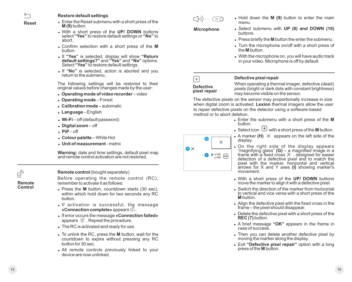**Reset**

#### **Restore default settings**

- Enter the Reset submenu with a short press of the **M (9)** button.
- <sup>=</sup> With a short press of the **UP/ DOWN** buttons select **"Yes"** to restore default settings or **"No"** to abort.
- <sup>=</sup> Confirm selection with a short press of the **M** button.
- <sup>=</sup> If **"Yes"** is selected, display will show **"Return default settings?"** and **"Yes"** and **"No"** options. Select **"Yes"** to restore default settings.
- If "No" is selected, action is aborted and you return to the submenu.

The following settings will be restored to their original values before changes made by the user:

- <sup>=</sup> **Operating mode of video recorder** video
- <sup>=</sup> **Operating mode**  Forest
- **Calibration mode** automatic
- <sup>=</sup> **Language** English
- **Wi-Fi** off (default password)
- <sup>=</sup> **Digital zoom** off
- $\cdot$  **PiP** off
- <sup>=</sup> **Colour palette** White Hot
- <sup>=</sup> **Unit of measurement** metric

**Warning:** date and time settings, default pixel map and remote control activation are not restored.

#### **Remote control** (bought separately)

Before operating the remote control (RC), remember to activate it as follows:

- Press the M button, countdown starts (30 sec), within which hold down for two seconds any RC button.
- If activation is successful, the message **«Connection complete»** appears  $\mathbb{R}^{\mathcal{C}}$ .
- <sup>=</sup> If error occurs the message **«Connection failed»** appears  $\mathbb{R}$ . Repeat the procedure.
- The RC is activated and ready for use.
- $\bullet$  To unlink the RC, press the **M** button, wait for the countdown to expire without pressing any RC button for 30 sec.
- All remote controls previously linked to your device are now unlinked.

**Microphone**  $\bigcirc$ b))  $\cdots$   $\bigcirc$  of  $\bigcirc$ 

- <sup>=</sup> Hold down the **M (9)** button to enter the main menu.
- <sup>=</sup> Select submenu with **UP (8) and DOWN (10)** buttons.
- $\bullet$  Press briefly the **M** button the enter the submenu.
- Turn the microphone on/off with a short press of the **M** button.
- With the microphone on, you will have audio track in your video. Microphone is off by default.



G

 $\times$ 

I x=95 y=99

 $\mathbf{G} \times$ 

#### **Defective pixel repair**

**pixel repair**

When operating a thermal imager, defective (dead) pixels (bright or dark dots with constant brightness) may become visible on the sensor.

The defective pixels on the sensor may proportionally increase in size when digital zoom is activated. **Lexion** thermal imagers allow the user to repair defective pixels on the detector using a software-based method or to abort deletion.

- <sup>=</sup> Enter the submenu with a short press of the **M** button.
- Select icon  $\left(\begin{matrix} + \end{matrix}\right)$  with a short press of the **M** button.
- $\bullet$  A marker (H)  $\times$  appears on the left side of the display.
- . On the right side of the display appears "magnifying glass" **(G)** – a magnified image in a<br>frame with a fixed cross  $\times$  , designed for easier<br>detection of a defective pixel and to match the pixel with the marker, horizontal and vertical arrows for X and Y axes **(I)** showing marker's movement.
- With a short press of the **UP/ DOWN** buttons move the marker to align it with a defective pixel.
- Switch the direction of the marker from horizontal to vertical and vice versa with a short press of the **M** button.
- Align the defective pixel with the fixed cross in the frame – the pixel should disappear.
- Delete the defective pixel with a short press of the **REC (7)** button.
- <sup>=</sup> A brief message **"OK"** appears in the frame in case of success.
- Then you can delete another defective pixel by moving the marker along the display.
- <sup>=</sup> Exit **"Defective pixel repair"** option with a long press of the **M** button.

**Remote Control**

 $\mathbb{E}_y$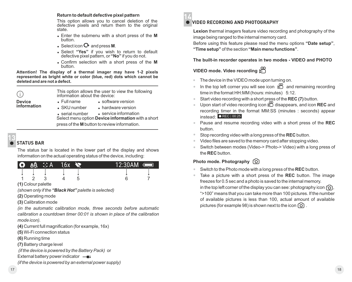#### **Return to default defective pixel pattern**

This option allows you to cancel deletion of the defective pixels and return them to the original state.

- <sup>=</sup> Enter the submenu with a short press of the **M** button.
- $\bullet$  Select icon  $\bullet$  and press **M**.
- <sup>=</sup> Select **"Yes"** if you wish to return to default defective pixel pattern, or **"No"** if you do not.
- <sup>=</sup> Confirm selection with a short press of the **M** button.

**Attention! The display of a thermal imager may have 1-2 pixels represented as bright white or color (blue, red) dots which cannot be deleted and are not a defect.** 

(i)

This option allows the user to view the following information about the device:

**Device information**

- <sup>=</sup> software version
- SKU number hardware version

<sup>=</sup> serial number <sup>=</sup> service information Select menu option **Device information** with a short

press of the **M** button to review information.

#### **STATUS BAR 13**

The status bar is located in the lower part of the display and shows information on the actual operating status of the device, including:

| IQ) | <b>TAA</b> | $\therefore$ A | 16х | 12:30AM | 01 |
|-----|------------|----------------|-----|---------|----|
|     |            |                |     |         |    |
|     |            |                |     |         |    |

**(1)** Colour palette

*(shown only if the "Black Hot" palette is selected)*

<sup>=</sup> Full name

**(2)** Operating mode

**(3)** Calibration mode

*(in the automatic calibration mode, three seconds before automatic calibration a countdown timer 00:01 is shown in place of the calibration mode icon).*

**(4)** Current full magnification (for example, 16x)

**(5)** Wi-Fi connection status

**(6)** Running time

**(7)** Battery charge level

 *(if the device is powered by the Battery Pack)* or

External battery power indicator -

*(if the device is powered by an external power supply)* 



# **VIDEO RECORDING AND PHOTOGRAPHY**

**Lexion** thermal imagers feature video recording and photography of the image being ranged to the internal memory card.

Before using this feature please read the menu options **"Date setup"**, **"Time setup"** of the section **"Main menu functions"**.

**The built-in recorder operates in two modes - VIDEO and PHOTO** 

# **VIDEO mode. Video recording**

- The device in the VIDEO mode upon turning on.
- In the top left corner you will see icon  $\Box$  and remaining recording  $\alpha$ time in the format HH:MM (hours: minutes) 5:12.
- Start video recording with a short press of the **REC (7)** button.
- Upon start of video recording icon  $\mathbb{C}$  disappears, and icon **REC** and recording timer in the format MM:SS (minutes : seconds) appear instead: OREC | 00:25
- Pause and resume recording video with a short press of the **REC** button.
- Stop recording video with a long press of the **REC** button.
- Video files are saved to the memory card after stopping video.
- Switch between modes (Video-> Photo-> Video) with a long press of the **REC** button.

# **Photo mode. Photography** [0]

- Switch to the Photo mode with a long press of the REC button.
- $\circ$ Take a picture with a short press of the **REC** button. The image freezes for 0.5 sec and a photo is saved to the internal memory. in the top left corner of the display you can see: photography icon  $\lceil \bigcirc \rceil$ . ">100" means that you can take more than 100 pictures. If the number of available pictures is less than 100, actual amount of available pictures (for example 98) is shown next to the icon  $\lceil \overline{Q} \rceil$ .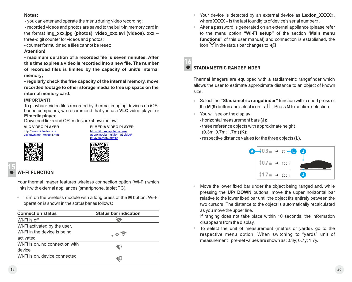#### **Notes:**

- you can enter and operate the menu during video recording;

 - recorded videos and photos are saved to the built-in memory card in the format i**mg\_xxx.jpg (photos)**; **video\_xxx.avi (videos)**. **xxx** – three-digit counter for videos and photos;

- counter for multimedia files cannot be reset;

#### **Attention!**

**- maximum duration of a recorded file is seven minutes. After this time expires a video is recorded into a new file. The number of recorded files is limited by the capacity of unit's internal memory;**

**- regularly check the free capacity of the internal memory, move recorded footage to other storage media to free up space on the internal memory card.** 

#### **IMPORTANT!**

To playback video files recorded by thermal imaging devices on iOSbased computers, we recommend that you use **VLC** video player or **Elmedia player.**

Download links and QR codes are shown below:

http://www.videolan.org/ vlc/download-macosx.html

**VLC VIDEO PLAYER ELMEDIA VIDEO PLAYER** https://itunes.apple.com/us/ app/elmedia-multiformat-video/ id937759555?mt=12





#### **WI-FI FUNCTION 15**

Your thermal imager features wireless connection option (Wi-Fi) which links it with external appliances (smartphone, tablet PC).

Turn on the wireless module with a long press of the **M** button. Wi-Fi  $\circ$ operation is shown in the status bar as follows:

| <b>Connection status</b>        | <b>Status bar indication</b> |
|---------------------------------|------------------------------|
| Wi-Fi is off                    |                              |
| Wi-Fi activated by the user,    |                              |
| Wi-Fi in the device is being    |                              |
| activated                       |                              |
| Wi-Fi is on, no connection with | $\blacksquare$ ?             |
| device                          |                              |
| Wi-Fi is on, device connected   |                              |

- Your device is detected by an external device as **Lexion\_XXXX**», where **XXXX** – is the last four digits of device's serial number».
- After a password is generated on an external appliance (please refer to the menu option **"Wi-Fi setup"** of the section "**Main menu functions"** of this user manual) and connection is established, the icon  $\widehat{\mathbb{C}}$  in the status bar changes to  $\P$ .

## **STADIAMETRIC RANGEFINDER 16**

Thermal imagers are equipped with a stadiametric rangefinder which allows the user to estimate approximate distance to an object of known size.

- Select the **"Stadiametric rangefinder"** function with a short press of  $\alpha$ the **M (9)** button and select icon . Press **M** to confirm selection.
- You will see on the display:  $\alpha$ 
	- horizontal measurement bars **(J)**;
	- three reference objects with approximate height (0.3m; 0.7m; 1.7m) **(K)**;
	- respective distance values for the three objects **(L)**.



Move the lower fixed bar under the object being ranged and, while pressing the **UP/ DOWN** buttons, move the upper horizontal bar relative to the lower fixed bar until the object fits entirely between the two cursors. The distance to the object is automatically recalculated as you move the upper line.

If ranging does not take place within 10 seconds, the information disappears from the display.

To select the unit of measurement (metres or yards), go to the respective menu option. When switching to "yards" unit of measurement pre-set values are shown as: 0.3y; 0.7y; 1.7y.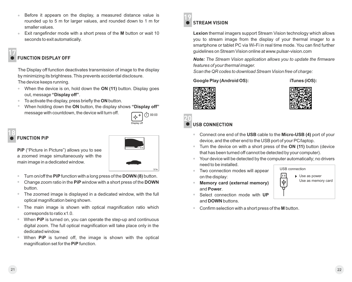- Before it appears on the display, a measured distance value is rounded up to 5 m for larger values, and rounded down to 1 m for smaller values.
- Exit rangefinder mode with a short press of the **M** button or wait 10 seconds to exit automatically.

#### **FUNCTION DISPLAY OFF 17**

The Display off function deactivates transmission of image to the display by minimizing its brightness. This prevents accidental disclosure. The device keeps running.

- When the device is on, hold down the **ON (11)** button. Display goes out, message **"Display off"**.
- To activate the display, press briefly the **ON** button.
- When holding down the **ON** button, the display shows **"Display off"**  message with countdown, the device will turn off.



**6.3x**

**3.1x**

#### **FUNCTION PiP 18**

**PiP** ("Picture in Picture") allows you to see a zoomed image simultaneously with the main image in a dedicated window.



- Change zoom ratio in the **PiP** window with a short press of the **DOWN** button.
- The zoomed image is displayed in a dedicated window, with the full  $\bullet$  . optical magnification being shown.
- The main image is shown with optical magnification ratio which  $\bullet$ corresponds to ratio x1.0.
- When PiP is turned on, you can operate the step-up and continuous  $\bullet$ digital zoom. The full optical magnification will take place only in the dedicated window.
- When **PiP** is turned off, the image is shown with the optical magnification set for the **PiP** function.



# **STREAM VISION**

**Lexion** thermal imagers support Stream Vision technology which allows you to stream image from the display of your thermal imager to a smartphone or tablet PC via Wi-Fi in real time mode. You can find further guidelines on Stream Vision online at www.pulsar-vision.com

*Note: The Stream Vision application allows you to update the firmware features of your thermal imager.* 

*Scan the QR codes to download Stream Vision free of charge:* 

## Google Play (Android OS): iTunes (iOS):





#### **USB CONNECTION 20**

- Connect one end of the **USB** cable to the **Micro-USB (4)** port of your device, and the other end to the USB port of your PC/laptop.
- Turn the device on with a short press of the **ON (11)** button (device that has been turned off cannot be detected by your computer).
- Your device will be detected by the computer automatically; no drivers need to be installed.
- Two connection modes will appear on the display:



USB connection

匝

 $\overline{\Psi}$ 



- Select connection mode with **UP** and **DOWN** buttons.
- Confirm selection with a short press of the **M** button.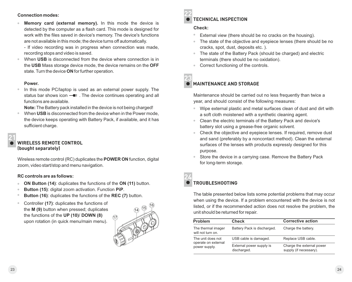#### **Connection modes:**

**Memory card (external memory).** In this mode the device is detected by the computer as a flash card. This mode is designed for work with the files saved in device's memory. The device's functions are not available in this mode; the device turns off automatically.

- If video recording was in progress when connection was made, recording stops and video is saved.

When **USB** is disconnected from the device where connection is in the **USB** Mass storage device mode, the device remains on the **OFF** state. Turn the device **ON** for further operation.

#### **Power.**

In this mode PC/laptop is used as an external power supply. The status bar shows icon  $-\blacksquare$ . The device continues operating and all functions are available.

**Note:** The Battery pack installed in the device is not being charged!

When **USB** is disconnected from the device when in the Power mode, the device keeps operating with Battery Pack, if available, and it has sufficient charge.

# **21**

#### **WIRELESS REMOTE CONTROL (bought separately)**

Wireless remote control (RC) duplicates the **POWER ON** function, digital zoom, video start/stop and menu navigation.

#### **RC controls are as follows:**

- **ON Button (14)**: duplicates the functions of the **ON (11)** button.
- **Button (15)**: digital zoom activation. Function **PiP**.
- **Button (16)**: duplicates the functions of the **REC (7)** button.
- Controller **(17)**: duplicates the functions of the **М (9)** button when pressed; duplicates the functions of the **UP (10)**/ **DOWN (8)** upon rotation (in quick menu/main menu).



**22**

#### **TECHNICAL INSPECTION**

#### **Check:**

- External view (there should be no cracks on the housing).
- The state of the objective and eyepiece lenses (there should be no cracks, spot, dust, deposits etc. ).
- The state of the Battery Pack (should be charged) and electric terminals (there should be no oxidation).
- Correct functioning of the controls.
- **23**

### **MAINTENANCE AND STORAGE**

Maintenance should be carried out no less frequently than twice a year, and should consist of the following measures:

- $\alpha$ Wipe external plastic and metal surfaces clean of dust and dirt with a soft cloth moistened with a synthetic cleaning agent.
- Clean the electric terminals of the Battery Pack and device's battery slot using a grease-free organic solvent.
- Check the objective and eyepiece lenses. If required, remove dust and sand (preferably by a noncontact method). Clean the external surfaces of the lenses with products expressly designed for this purpose.
- Store the device in a carrying case. Remove the Battery Pack for long-term storage.

#### **TROUBLESHOOTING 24**

The table presented below lists some potential problems that may occur when using the device. If a problem encountered with the device is not listed, or if the recommended action does not resolve the problem, the unit should be returned for repair.

| <b>Problem</b>                           | Check                                   | <b>Corrective action</b>                            |
|------------------------------------------|-----------------------------------------|-----------------------------------------------------|
| The thermal imager<br>will not turn on.  | Battery Pack is discharged.             | Charge the battery.                                 |
| The unit does not<br>operate on external | USB cable is damaged.                   | Replace USB cable.                                  |
| power supply.                            | External power supply is<br>discharged. | Charge the external power<br>supply (if necessary). |